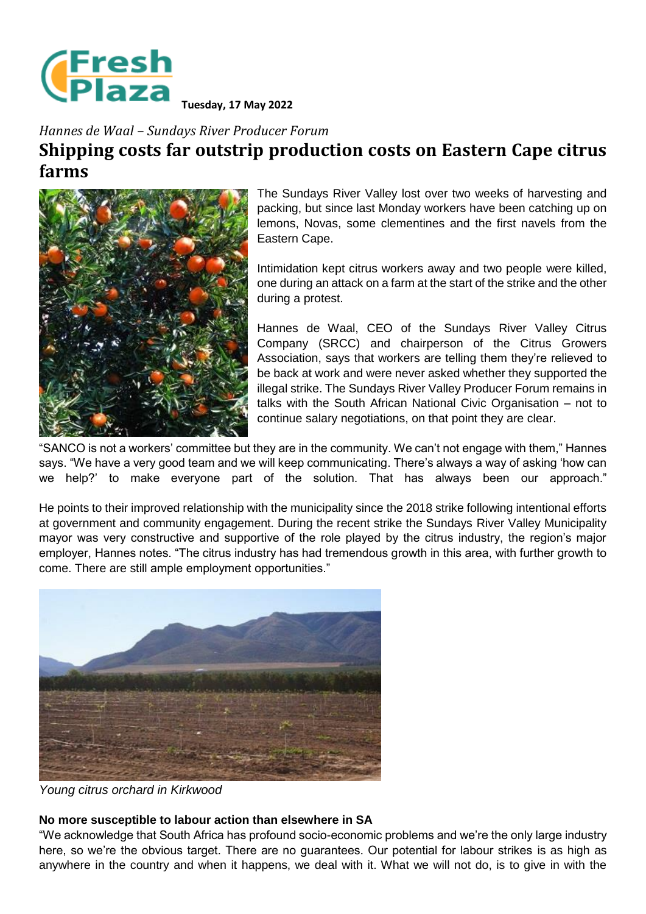

**Tuesday, 17 May 2022**

## *Hannes de Waal – Sundays River Producer Forum* **Shipping costs far outstrip production costs on Eastern Cape citrus farms**



The Sundays River Valley lost over two weeks of harvesting and packing, but since last Monday workers have been catching up on lemons, Novas, some clementines and the first navels from the Eastern Cape.

Intimidation kept citrus workers away and two people were killed, one during an attack on a farm at the start of the strike and the other during a protest.

Hannes de Waal, CEO of the Sundays River Valley Citrus Company (SRCC) and chairperson of the Citrus Growers Association, says that workers are telling them they're relieved to be back at work and were never asked whether they supported the illegal strike. The Sundays River Valley Producer Forum remains in talks with the South African National Civic Organisation – not to continue salary negotiations, on that point they are clear.

"SANCO is not a workers' committee but they are in the community. We can't not engage with them," Hannes says. "We have a very good team and we will keep communicating. There's always a way of asking 'how can we help?' to make everyone part of the solution. That has always been our approach."

He points to their improved relationship with the municipality since the 2018 strike following intentional efforts at government and community engagement. During the recent strike the Sundays River Valley Municipality mayor was very constructive and supportive of the role played by the citrus industry, the region's major employer, Hannes notes. "The citrus industry has had tremendous growth in this area, with further growth to come. There are still ample employment opportunities."



*Young citrus orchard in Kirkwood*

## **No more susceptible to labour action than elsewhere in SA**

"We acknowledge that South Africa has profound socio-economic problems and we're the only large industry here, so we're the obvious target. There are no guarantees. Our potential for labour strikes is as high as anywhere in the country and when it happens, we deal with it. What we will not do, is to give in with the